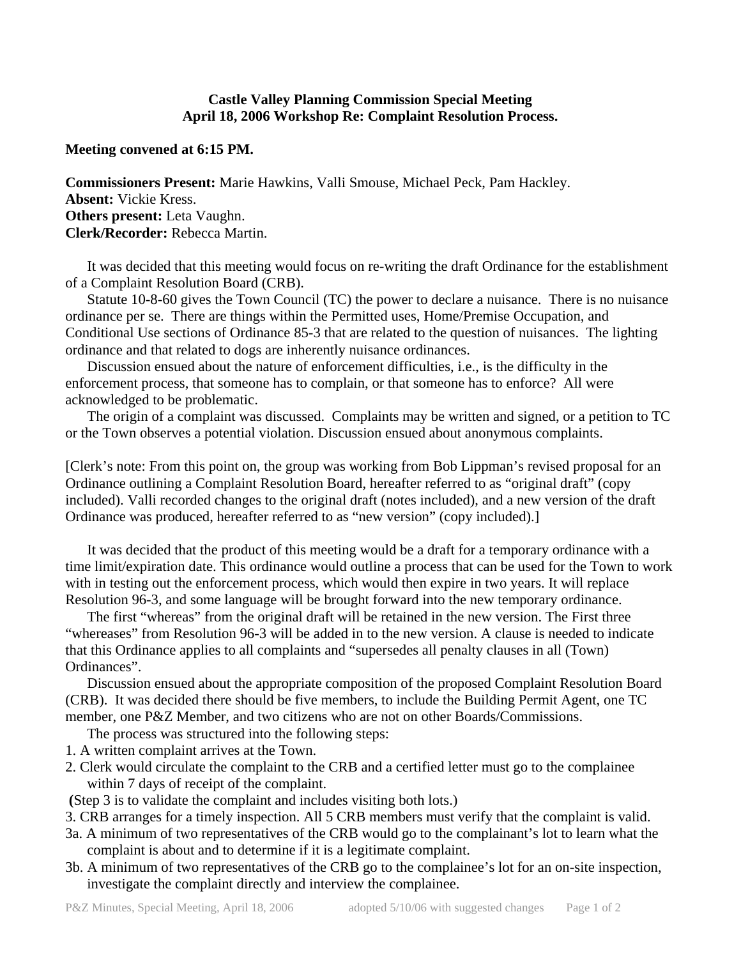## **Castle Valley Planning Commission Special Meeting April 18, 2006 Workshop Re: Complaint Resolution Process.**

## **Meeting convened at 6:15 PM.**

**Commissioners Present:** Marie Hawkins, Valli Smouse, Michael Peck, Pam Hackley. **Absent:** Vickie Kress. **Others present:** Leta Vaughn. **Clerk/Recorder:** Rebecca Martin.

 It was decided that this meeting would focus on re-writing the draft Ordinance for the establishment of a Complaint Resolution Board (CRB).

 Statute 10-8-60 gives the Town Council (TC) the power to declare a nuisance. There is no nuisance ordinance per se. There are things within the Permitted uses, Home/Premise Occupation, and Conditional Use sections of Ordinance 85-3 that are related to the question of nuisances. The lighting ordinance and that related to dogs are inherently nuisance ordinances.

 Discussion ensued about the nature of enforcement difficulties, i.e., is the difficulty in the enforcement process, that someone has to complain, or that someone has to enforce? All were acknowledged to be problematic.

 The origin of a complaint was discussed. Complaints may be written and signed, or a petition to TC or the Town observes a potential violation. Discussion ensued about anonymous complaints.

[Clerk's note: From this point on, the group was working from Bob Lippman's revised proposal for an Ordinance outlining a Complaint Resolution Board, hereafter referred to as "original draft" (copy included). Valli recorded changes to the original draft (notes included), and a new version of the draft Ordinance was produced, hereafter referred to as "new version" (copy included).]

 It was decided that the product of this meeting would be a draft for a temporary ordinance with a time limit/expiration date. This ordinance would outline a process that can be used for the Town to work with in testing out the enforcement process, which would then expire in two years. It will replace Resolution 96-3, and some language will be brought forward into the new temporary ordinance.

 The first "whereas" from the original draft will be retained in the new version. The First three "whereases" from Resolution 96-3 will be added in to the new version. A clause is needed to indicate that this Ordinance applies to all complaints and "supersedes all penalty clauses in all (Town) Ordinances".

 Discussion ensued about the appropriate composition of the proposed Complaint Resolution Board (CRB). It was decided there should be five members, to include the Building Permit Agent, one TC member, one P&Z Member, and two citizens who are not on other Boards/Commissions.

The process was structured into the following steps:

- 1. A written complaint arrives at the Town.
- 2. Clerk would circulate the complaint to the CRB and a certified letter must go to the complainee within 7 days of receipt of the complaint.

 **(**Step 3 is to validate the complaint and includes visiting both lots.)

3. CRB arranges for a timely inspection. All 5 CRB members must verify that the complaint is valid.

- 3a. A minimum of two representatives of the CRB would go to the complainant's lot to learn what the complaint is about and to determine if it is a legitimate complaint.
- 3b. A minimum of two representatives of the CRB go to the complainee's lot for an on-site inspection, investigate the complaint directly and interview the complainee.